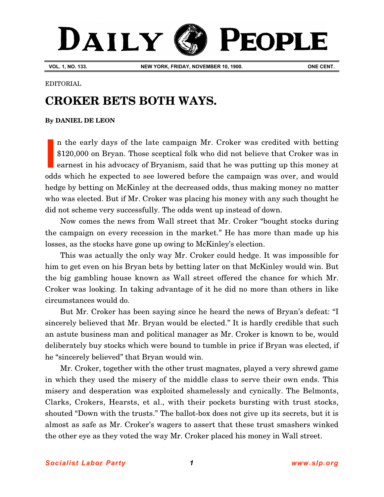# DAILY **PEOPLE**

**VOL. 1, NO. 133. NEW YORK, FRIDAY, NOVEMBER 10, 1900. ONE CENT.**

#### EDITORIAL

## **CROKER BETS BOTH WAYS.**

### **By [DANIEL DE LEON](http://www.slp.org/De_Leon.htm)**

n the early days of the late campaign Mr. Croker was credited with betting \$120,000 on Bryan. Those sceptical folk who did not believe that Croker was in earnest in his advocacy of Bryanism, said that he was putting up this money at odds which he expected to see lowered before the campaign was over, and would hedge by betting on McKinley at the decreased odds, thus making money no matter who was elected. But if Mr. Croker was placing his money with any such thought he did not scheme very successfully. The odds went up instead of down. **I**

Now comes the news from Wall street that Mr. Croker "bought stocks during the campaign on every recession in the market." He has more than made up his losses, as the stocks have gone up owing to McKinley's election.

This was actually the only way Mr. Croker could hedge. It was impossible for him to get even on his Bryan bets by betting later on that McKinley would win. But the big gambling house known as Wall street offered the chance for which Mr. Croker was looking. In taking advantage of it he did no more than others in like circumstances would do.

But Mr. Croker has been saying since he heard the news of Bryan's defeat: "I sincerely believed that Mr. Bryan would be elected." It is hardly credible that such an astute business man and political manager as Mr. Croker is known to be, would deliberately buy stocks which were bound to tumble in price if Bryan was elected, if he "sincerely believed" that Bryan would win.

Mr. Croker, together with the other trust magnates, played a very shrewd game in which they used the misery of the middle class to serve their own ends. This misery and desperation was exploited shamelessly and cynically. The Belmonts, Clarks, Crokers, Hearsts, et al., with their pockets bursting with trust stocks, shouted "Down with the trusts." The ballot-box does not give up its secrets, but it is almost as safe as Mr. Croker's wagers to assert that these trust smashers winked the other eye as they voted the way Mr. Croker placed his money in Wall street.